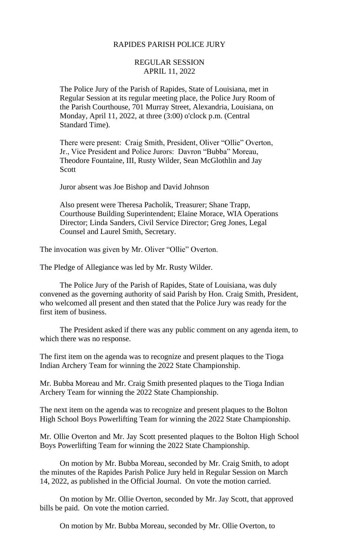# RAPIDES PARISH POLICE JURY

# REGULAR SESSION APRIL 11, 2022

The Police Jury of the Parish of Rapides, State of Louisiana, met in Regular Session at its regular meeting place, the Police Jury Room of the Parish Courthouse, 701 Murray Street, Alexandria, Louisiana, on Monday, April 11, 2022, at three (3:00) o'clock p.m. (Central Standard Time).

There were present: Craig Smith, President, Oliver "Ollie" Overton, Jr., Vice President and Police Jurors: Davron "Bubba" Moreau, Theodore Fountaine, III, Rusty Wilder, Sean McGlothlin and Jay Scott

Juror absent was Joe Bishop and David Johnson

Also present were Theresa Pacholik, Treasurer; Shane Trapp, Courthouse Building Superintendent; Elaine Morace, WIA Operations Director; Linda Sanders, Civil Service Director; Greg Jones, Legal Counsel and Laurel Smith, Secretary.

The invocation was given by Mr. Oliver "Ollie" Overton.

The Pledge of Allegiance was led by Mr. Rusty Wilder.

The Police Jury of the Parish of Rapides, State of Louisiana, was duly convened as the governing authority of said Parish by Hon. Craig Smith, President, who welcomed all present and then stated that the Police Jury was ready for the first item of business.

The President asked if there was any public comment on any agenda item, to which there was no response.

The first item on the agenda was to recognize and present plaques to the Tioga Indian Archery Team for winning the 2022 State Championship.

Mr. Bubba Moreau and Mr. Craig Smith presented plaques to the Tioga Indian Archery Team for winning the 2022 State Championship.

The next item on the agenda was to recognize and present plaques to the Bolton High School Boys Powerlifting Team for winning the 2022 State Championship.

Mr. Ollie Overton and Mr. Jay Scott presented plaques to the Bolton High School Boys Powerlifting Team for winning the 2022 State Championship.

On motion by Mr. Bubba Moreau, seconded by Mr. Craig Smith, to adopt the minutes of the Rapides Parish Police Jury held in Regular Session on March 14, 2022, as published in the Official Journal. On vote the motion carried.

On motion by Mr. Ollie Overton, seconded by Mr. Jay Scott, that approved bills be paid. On vote the motion carried.

On motion by Mr. Bubba Moreau, seconded by Mr. Ollie Overton, to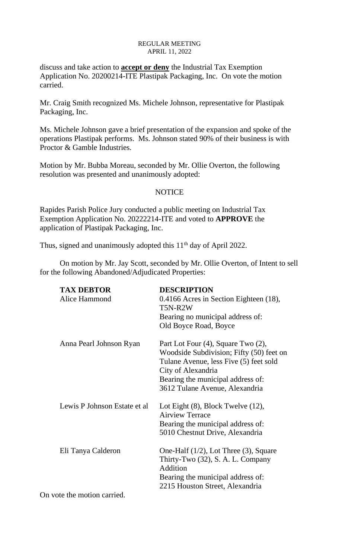discuss and take action to **accept or deny** the Industrial Tax Exemption Application No. 20200214-ITE Plastipak Packaging, Inc. On vote the motion carried.

Mr. Craig Smith recognized Ms. Michele Johnson, representative for Plastipak Packaging, Inc.

Ms. Michele Johnson gave a brief presentation of the expansion and spoke of the operations Plastipak performs. Ms. Johnson stated 90% of their business is with Proctor & Gamble Industries.

Motion by Mr. Bubba Moreau, seconded by Mr. Ollie Overton, the following resolution was presented and unanimously adopted:

# **NOTICE**

Rapides Parish Police Jury conducted a public meeting on Industrial Tax Exemption Application No. 20222214-ITE and voted to **APPROVE** the application of Plastipak Packaging, Inc.

Thus, signed and unanimously adopted this 11<sup>th</sup> day of April 2022.

On motion by Mr. Jay Scott, seconded by Mr. Ollie Overton, of Intent to sell for the following Abandoned/Adjudicated Properties:

| <b>TAX DEBTOR</b>            | <b>DESCRIPTION</b>                                                                                                                                                                  |
|------------------------------|-------------------------------------------------------------------------------------------------------------------------------------------------------------------------------------|
| Alice Hammond                | 0.4166 Acres in Section Eighteen (18),<br>T5N-R2W                                                                                                                                   |
|                              | Bearing no municipal address of:                                                                                                                                                    |
|                              | Old Boyce Road, Boyce                                                                                                                                                               |
| Anna Pearl Johnson Ryan      | Part Lot Four (4), Square Two (2),<br>Woodside Subdivision; Fifty (50) feet on<br>Tulane Avenue, less Five (5) feet sold<br>City of Alexandria<br>Bearing the municipal address of: |
|                              | 3612 Tulane Avenue, Alexandria                                                                                                                                                      |
| Lewis P Johnson Estate et al | Lot Eight $(8)$ , Block Twelve $(12)$ ,<br><b>Airview Terrace</b>                                                                                                                   |
|                              | Bearing the municipal address of:                                                                                                                                                   |
|                              | 5010 Chestnut Drive, Alexandria                                                                                                                                                     |
| Eli Tanya Calderon           | One-Half $(1/2)$ , Lot Three $(3)$ , Square<br>Thirty-Two (32), S. A. L. Company<br>Addition                                                                                        |
|                              | Bearing the municipal address of:                                                                                                                                                   |
| ote the motion carried       | 2215 Houston Street, Alexandria                                                                                                                                                     |
|                              |                                                                                                                                                                                     |

On vote the motion carried.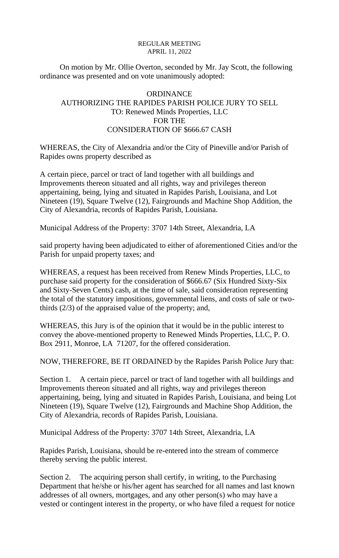On motion by Mr. Ollie Overton, seconded by Mr. Jay Scott, the following ordinance was presented and on vote unanimously adopted:

# **ORDINANCE** AUTHORIZING THE RAPIDES PARISH POLICE JURY TO SELL TO: Renewed Minds Properties, LLC FOR THE CONSIDERATION OF \$666.67 CASH

WHEREAS, the City of Alexandria and/or the City of Pineville and/or Parish of Rapides owns property described as

A certain piece, parcel or tract of land together with all buildings and Improvements thereon situated and all rights, way and privileges thereon appertaining, being, lying and situated in Rapides Parish, Louisiana, and Lot Nineteen (19), Square Twelve (12), Fairgrounds and Machine Shop Addition, the City of Alexandria, records of Rapides Parish, Louisiana.

Municipal Address of the Property: 3707 14th Street, Alexandria, LA

said property having been adjudicated to either of aforementioned Cities and/or the Parish for unpaid property taxes; and

WHEREAS, a request has been received from Renew Minds Properties, LLC, to purchase said property for the consideration of \$666.67 (Six Hundred Sixty-Six and Sixty-Seven Cents) cash, at the time of sale, said consideration representing the total of the statutory impositions, governmental liens, and costs of sale or twothirds (2/3) of the appraised value of the property; and,

WHEREAS, this Jury is of the opinion that it would be in the public interest to convey the above-mentioned property to Renewed Minds Properties, LLC, P. O. Box 2911, Monroe, LA 71207, for the offered consideration.

NOW, THEREFORE, BE IT ORDAINED by the Rapides Parish Police Jury that:

Section 1. A certain piece, parcel or tract of land together with all buildings and Improvements thereon situated and all rights, way and privileges thereon appertaining, being, lying and situated in Rapides Parish, Louisiana, and being Lot Nineteen (19), Square Twelve (12), Fairgrounds and Machine Shop Addition, the City of Alexandria, records of Rapides Parish, Louisiana.

Municipal Address of the Property: 3707 14th Street, Alexandria, LA

Rapides Parish, Louisiana, should be re-entered into the stream of commerce thereby serving the public interest.

Section 2. The acquiring person shall certify, in writing, to the Purchasing Department that he/she or his/her agent has searched for all names and last known addresses of all owners, mortgages, and any other person(s) who may have a vested or contingent interest in the property, or who have filed a request for notice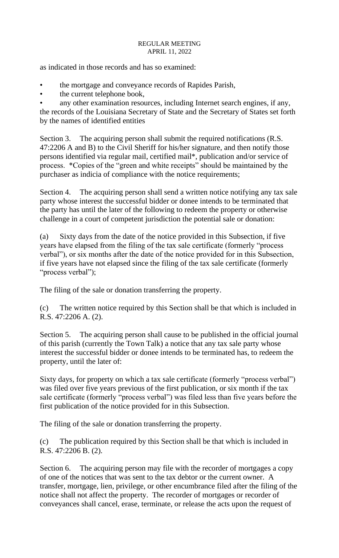as indicated in those records and has so examined:

- the mortgage and conveyance records of Rapides Parish,
- the current telephone book,

any other examination resources, including Internet search engines, if any, the records of the Louisiana Secretary of State and the Secretary of States set forth by the names of identified entities

Section 3. The acquiring person shall submit the required notifications (R.S. 47:2206 A and B) to the Civil Sheriff for his/her signature, and then notify those persons identified via regular mail, certified mail\*, publication and/or service of process. \*Copies of the "green and white receipts" should be maintained by the purchaser as indicia of compliance with the notice requirements;

Section 4. The acquiring person shall send a written notice notifying any tax sale party whose interest the successful bidder or donee intends to be terminated that the party has until the later of the following to redeem the property or otherwise challenge in a court of competent jurisdiction the potential sale or donation:

(a) Sixty days from the date of the notice provided in this Subsection, if five years have elapsed from the filing of the tax sale certificate (formerly "process verbal"), or six months after the date of the notice provided for in this Subsection, if five years have not elapsed since the filing of the tax sale certificate (formerly "process verbal");

The filing of the sale or donation transferring the property.

(c) The written notice required by this Section shall be that which is included in R.S. 47:2206 A. (2).

Section 5. The acquiring person shall cause to be published in the official journal of this parish (currently the Town Talk) a notice that any tax sale party whose interest the successful bidder or donee intends to be terminated has, to redeem the property, until the later of:

Sixty days, for property on which a tax sale certificate (formerly "process verbal") was filed over five years previous of the first publication, or six month if the tax sale certificate (formerly "process verbal") was filed less than five years before the first publication of the notice provided for in this Subsection.

The filing of the sale or donation transferring the property.

(c) The publication required by this Section shall be that which is included in R.S. 47:2206 B. (2).

Section 6. The acquiring person may file with the recorder of mortgages a copy of one of the notices that was sent to the tax debtor or the current owner. A transfer, mortgage, lien, privilege, or other encumbrance filed after the filing of the notice shall not affect the property. The recorder of mortgages or recorder of conveyances shall cancel, erase, terminate, or release the acts upon the request of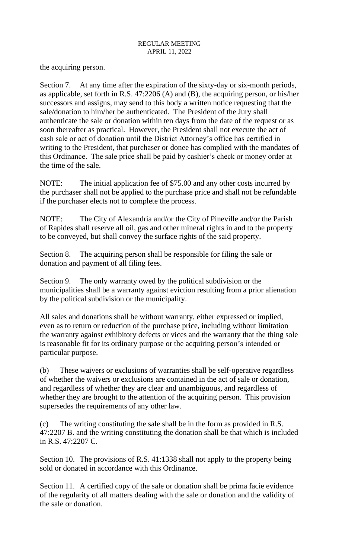the acquiring person.

Section 7. At any time after the expiration of the sixty-day or six-month periods, as applicable, set forth in R.S. 47:2206 (A) and (B), the acquiring person, or his/her successors and assigns, may send to this body a written notice requesting that the sale/donation to him/her be authenticated. The President of the Jury shall authenticate the sale or donation within ten days from the date of the request or as soon thereafter as practical. However, the President shall not execute the act of cash sale or act of donation until the District Attorney's office has certified in writing to the President, that purchaser or donee has complied with the mandates of this Ordinance. The sale price shall be paid by cashier's check or money order at the time of the sale.

NOTE: The initial application fee of \$75.00 and any other costs incurred by the purchaser shall not be applied to the purchase price and shall not be refundable if the purchaser elects not to complete the process.

NOTE: The City of Alexandria and/or the City of Pineville and/or the Parish of Rapides shall reserve all oil, gas and other mineral rights in and to the property to be conveyed, but shall convey the surface rights of the said property.

Section 8. The acquiring person shall be responsible for filing the sale or donation and payment of all filing fees.

Section 9. The only warranty owed by the political subdivision or the municipalities shall be a warranty against eviction resulting from a prior alienation by the political subdivision or the municipality.

All sales and donations shall be without warranty, either expressed or implied, even as to return or reduction of the purchase price, including without limitation the warranty against exhibitory defects or vices and the warranty that the thing sole is reasonable fit for its ordinary purpose or the acquiring person's intended or particular purpose.

(b) These waivers or exclusions of warranties shall be self-operative regardless of whether the waivers or exclusions are contained in the act of sale or donation, and regardless of whether they are clear and unambiguous, and regardless of whether they are brought to the attention of the acquiring person. This provision supersedes the requirements of any other law.

(c) The writing constituting the sale shall be in the form as provided in R.S. 47:2207 B. and the writing constituting the donation shall be that which is included in R.S. 47:2207 C.

Section 10. The provisions of R.S. 41:1338 shall not apply to the property being sold or donated in accordance with this Ordinance.

Section 11. A certified copy of the sale or donation shall be prima facie evidence of the regularity of all matters dealing with the sale or donation and the validity of the sale or donation.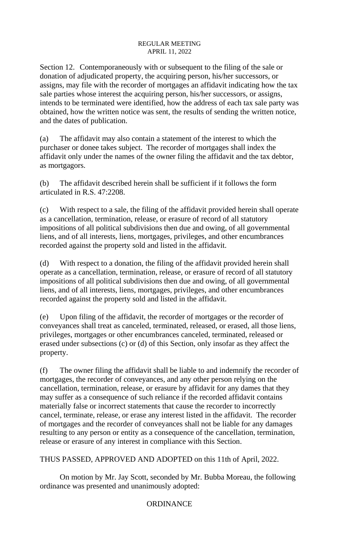Section 12. Contemporaneously with or subsequent to the filing of the sale or donation of adjudicated property, the acquiring person, his/her successors, or assigns, may file with the recorder of mortgages an affidavit indicating how the tax sale parties whose interest the acquiring person, his/her successors, or assigns, intends to be terminated were identified, how the address of each tax sale party was obtained, how the written notice was sent, the results of sending the written notice, and the dates of publication.

(a) The affidavit may also contain a statement of the interest to which the purchaser or donee takes subject. The recorder of mortgages shall index the affidavit only under the names of the owner filing the affidavit and the tax debtor, as mortgagors.

(b) The affidavit described herein shall be sufficient if it follows the form articulated in R.S. 47:2208.

(c) With respect to a sale, the filing of the affidavit provided herein shall operate as a cancellation, termination, release, or erasure of record of all statutory impositions of all political subdivisions then due and owing, of all governmental liens, and of all interests, liens, mortgages, privileges, and other encumbrances recorded against the property sold and listed in the affidavit.

(d) With respect to a donation, the filing of the affidavit provided herein shall operate as a cancellation, termination, release, or erasure of record of all statutory impositions of all political subdivisions then due and owing, of all governmental liens, and of all interests, liens, mortgages, privileges, and other encumbrances recorded against the property sold and listed in the affidavit.

(e) Upon filing of the affidavit, the recorder of mortgages or the recorder of conveyances shall treat as canceled, terminated, released, or erased, all those liens, privileges, mortgages or other encumbrances canceled, terminated, released or erased under subsections (c) or (d) of this Section, only insofar as they affect the property.

(f) The owner filing the affidavit shall be liable to and indemnify the recorder of mortgages, the recorder of conveyances, and any other person relying on the cancellation, termination, release, or erasure by affidavit for any dames that they may suffer as a consequence of such reliance if the recorded affidavit contains materially false or incorrect statements that cause the recorder to incorrectly cancel, terminate, release, or erase any interest listed in the affidavit. The recorder of mortgages and the recorder of conveyances shall not be liable for any damages resulting to any person or entity as a consequence of the cancellation, termination, release or erasure of any interest in compliance with this Section.

THUS PASSED, APPROVED AND ADOPTED on this 11th of April, 2022.

On motion by Mr. Jay Scott, seconded by Mr. Bubba Moreau, the following ordinance was presented and unanimously adopted:

# **ORDINANCE**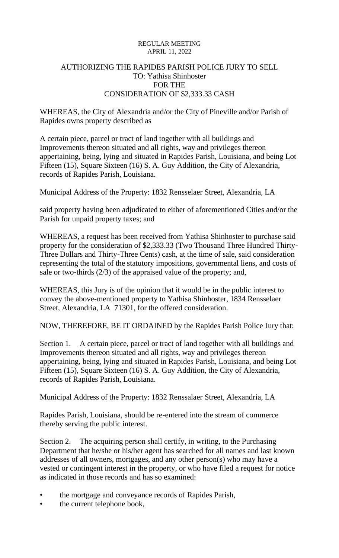# AUTHORIZING THE RAPIDES PARISH POLICE JURY TO SELL TO: Yathisa Shinhoster FOR THE CONSIDERATION OF \$2,333.33 CASH

WHEREAS, the City of Alexandria and/or the City of Pineville and/or Parish of Rapides owns property described as

A certain piece, parcel or tract of land together with all buildings and Improvements thereon situated and all rights, way and privileges thereon appertaining, being, lying and situated in Rapides Parish, Louisiana, and being Lot Fifteen (15), Square Sixteen (16) S. A. Guy Addition, the City of Alexandria, records of Rapides Parish, Louisiana.

Municipal Address of the Property: 1832 Rensselaer Street, Alexandria, LA

said property having been adjudicated to either of aforementioned Cities and/or the Parish for unpaid property taxes; and

WHEREAS, a request has been received from Yathisa Shinhoster to purchase said property for the consideration of \$2,333.33 (Two Thousand Three Hundred Thirty-Three Dollars and Thirty-Three Cents) cash, at the time of sale, said consideration representing the total of the statutory impositions, governmental liens, and costs of sale or two-thirds (2/3) of the appraised value of the property; and,

WHEREAS, this Jury is of the opinion that it would be in the public interest to convey the above-mentioned property to Yathisa Shinhoster, 1834 Rensselaer Street, Alexandria, LA 71301, for the offered consideration.

NOW, THEREFORE, BE IT ORDAINED by the Rapides Parish Police Jury that:

Section 1. A certain piece, parcel or tract of land together with all buildings and Improvements thereon situated and all rights, way and privileges thereon appertaining, being, lying and situated in Rapides Parish, Louisiana, and being Lot Fifteen (15), Square Sixteen (16) S. A. Guy Addition, the City of Alexandria, records of Rapides Parish, Louisiana.

Municipal Address of the Property: 1832 Renssalaer Street, Alexandria, LA

Rapides Parish, Louisiana, should be re-entered into the stream of commerce thereby serving the public interest.

Section 2. The acquiring person shall certify, in writing, to the Purchasing Department that he/she or his/her agent has searched for all names and last known addresses of all owners, mortgages, and any other person(s) who may have a vested or contingent interest in the property, or who have filed a request for notice as indicated in those records and has so examined:

- the mortgage and conveyance records of Rapides Parish,
- the current telephone book,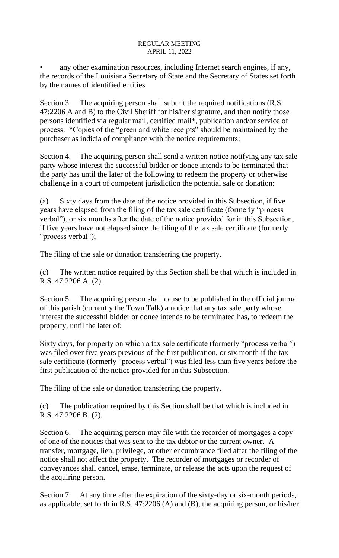any other examination resources, including Internet search engines, if any, the records of the Louisiana Secretary of State and the Secretary of States set forth by the names of identified entities

Section 3. The acquiring person shall submit the required notifications (R.S. 47:2206 A and B) to the Civil Sheriff for his/her signature, and then notify those persons identified via regular mail, certified mail\*, publication and/or service of process. \*Copies of the "green and white receipts" should be maintained by the purchaser as indicia of compliance with the notice requirements;

Section 4. The acquiring person shall send a written notice notifying any tax sale party whose interest the successful bidder or donee intends to be terminated that the party has until the later of the following to redeem the property or otherwise challenge in a court of competent jurisdiction the potential sale or donation:

(a) Sixty days from the date of the notice provided in this Subsection, if five years have elapsed from the filing of the tax sale certificate (formerly "process verbal"), or six months after the date of the notice provided for in this Subsection, if five years have not elapsed since the filing of the tax sale certificate (formerly "process verbal");

The filing of the sale or donation transferring the property.

(c) The written notice required by this Section shall be that which is included in R.S. 47:2206 A. (2).

Section 5. The acquiring person shall cause to be published in the official journal of this parish (currently the Town Talk) a notice that any tax sale party whose interest the successful bidder or donee intends to be terminated has, to redeem the property, until the later of:

Sixty days, for property on which a tax sale certificate (formerly "process verbal") was filed over five years previous of the first publication, or six month if the tax sale certificate (formerly "process verbal") was filed less than five years before the first publication of the notice provided for in this Subsection.

The filing of the sale or donation transferring the property.

(c) The publication required by this Section shall be that which is included in R.S. 47:2206 B. (2).

Section 6. The acquiring person may file with the recorder of mortgages a copy of one of the notices that was sent to the tax debtor or the current owner. A transfer, mortgage, lien, privilege, or other encumbrance filed after the filing of the notice shall not affect the property. The recorder of mortgages or recorder of conveyances shall cancel, erase, terminate, or release the acts upon the request of the acquiring person.

Section 7. At any time after the expiration of the sixty-day or six-month periods, as applicable, set forth in R.S. 47:2206 (A) and (B), the acquiring person, or his/her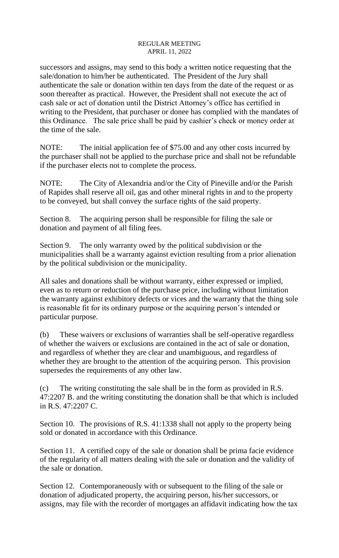successors and assigns, may send to this body a written notice requesting that the sale/donation to him/her be authenticated. The President of the Jury shall authenticate the sale or donation within ten days from the date of the request or as soon thereafter as practical. However, the President shall not execute the act of cash sale or act of donation until the District Attorney's office has certified in writing to the President, that purchaser or donee has complied with the mandates of this Ordinance. The sale price shall be paid by cashier's check or money order at the time of the sale.

NOTE: The initial application fee of \$75.00 and any other costs incurred by the purchaser shall not be applied to the purchase price and shall not be refundable if the purchaser elects not to complete the process.

NOTE: The City of Alexandria and/or the City of Pineville and/or the Parish of Rapides shall reserve all oil, gas and other mineral rights in and to the property to be conveyed, but shall convey the surface rights of the said property.

Section 8. The acquiring person shall be responsible for filing the sale or donation and payment of all filing fees.

Section 9. The only warranty owed by the political subdivision or the municipalities shall be a warranty against eviction resulting from a prior alienation by the political subdivision or the municipality.

All sales and donations shall be without warranty, either expressed or implied, even as to return or reduction of the purchase price, including without limitation the warranty against exhibitory defects or vices and the warranty that the thing sole is reasonable fit for its ordinary purpose or the acquiring person's intended or particular purpose.

(b) These waivers or exclusions of warranties shall be self-operative regardless of whether the waivers or exclusions are contained in the act of sale or donation, and regardless of whether they are clear and unambiguous, and regardless of whether they are brought to the attention of the acquiring person. This provision supersedes the requirements of any other law.

(c) The writing constituting the sale shall be in the form as provided in R.S. 47:2207 B. and the writing constituting the donation shall be that which is included in R.S. 47:2207 C.

Section 10. The provisions of R.S. 41:1338 shall not apply to the property being sold or donated in accordance with this Ordinance.

Section 11. A certified copy of the sale or donation shall be prima facie evidence of the regularity of all matters dealing with the sale or donation and the validity of the sale or donation.

Section 12. Contemporaneously with or subsequent to the filing of the sale or donation of adjudicated property, the acquiring person, his/her successors, or assigns, may file with the recorder of mortgages an affidavit indicating how the tax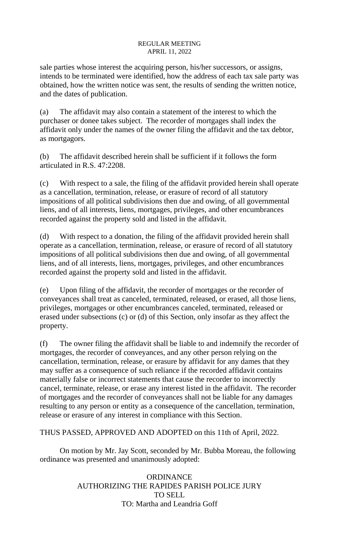sale parties whose interest the acquiring person, his/her successors, or assigns, intends to be terminated were identified, how the address of each tax sale party was obtained, how the written notice was sent, the results of sending the written notice, and the dates of publication.

(a) The affidavit may also contain a statement of the interest to which the purchaser or donee takes subject. The recorder of mortgages shall index the affidavit only under the names of the owner filing the affidavit and the tax debtor, as mortgagors.

(b) The affidavit described herein shall be sufficient if it follows the form articulated in R.S. 47:2208.

(c) With respect to a sale, the filing of the affidavit provided herein shall operate as a cancellation, termination, release, or erasure of record of all statutory impositions of all political subdivisions then due and owing, of all governmental liens, and of all interests, liens, mortgages, privileges, and other encumbrances recorded against the property sold and listed in the affidavit.

(d) With respect to a donation, the filing of the affidavit provided herein shall operate as a cancellation, termination, release, or erasure of record of all statutory impositions of all political subdivisions then due and owing, of all governmental liens, and of all interests, liens, mortgages, privileges, and other encumbrances recorded against the property sold and listed in the affidavit.

(e) Upon filing of the affidavit, the recorder of mortgages or the recorder of conveyances shall treat as canceled, terminated, released, or erased, all those liens, privileges, mortgages or other encumbrances canceled, terminated, released or erased under subsections (c) or (d) of this Section, only insofar as they affect the property.

(f) The owner filing the affidavit shall be liable to and indemnify the recorder of mortgages, the recorder of conveyances, and any other person relying on the cancellation, termination, release, or erasure by affidavit for any dames that they may suffer as a consequence of such reliance if the recorded affidavit contains materially false or incorrect statements that cause the recorder to incorrectly cancel, terminate, release, or erase any interest listed in the affidavit. The recorder of mortgages and the recorder of conveyances shall not be liable for any damages resulting to any person or entity as a consequence of the cancellation, termination, release or erasure of any interest in compliance with this Section.

THUS PASSED, APPROVED AND ADOPTED on this 11th of April, 2022.

On motion by Mr. Jay Scott, seconded by Mr. Bubba Moreau, the following ordinance was presented and unanimously adopted:

> **ORDINANCE** AUTHORIZING THE RAPIDES PARISH POLICE JURY TO SELL TO: Martha and Leandria Goff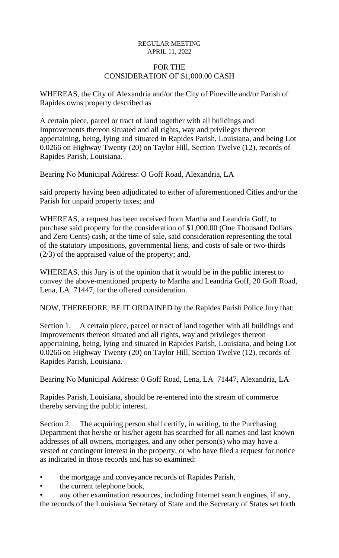# FOR THE CONSIDERATION OF \$1,000.00 CASH

WHEREAS, the City of Alexandria and/or the City of Pineville and/or Parish of Rapides owns property described as

A certain piece, parcel or tract of land together with all buildings and Improvements thereon situated and all rights, way and privileges thereon appertaining, being, lying and situated in Rapides Parish, Louisiana, and being Lot 0.0266 on Highway Twenty (20) on Taylor Hill, Section Twelve (12), records of Rapides Parish, Louisiana.

Bearing No Municipal Address: O Goff Road, Alexandria, LA

said property having been adjudicated to either of aforementioned Cities and/or the Parish for unpaid property taxes; and

WHEREAS, a request has been received from Martha and Leandria Goff, to purchase said property for the consideration of \$1,000.00 (One Thousand Dollars and Zero Cents) cash, at the time of sale, said consideration representing the total of the statutory impositions, governmental liens, and costs of sale or two-thirds (2/3) of the appraised value of the property; and,

WHEREAS, this Jury is of the opinion that it would be in the public interest to convey the above-mentioned property to Martha and Leandria Goff, 20 Goff Road, Lena, LA 71447, for the offered consideration.

NOW, THEREFORE, BE IT ORDAINED by the Rapides Parish Police Jury that:

Section 1. A certain piece, parcel or tract of land together with all buildings and Improvements thereon situated and all rights, way and privileges thereon appertaining, being, lying and situated in Rapides Parish, Louisiana, and being Lot 0.0266 on Highway Twenty (20) on Taylor Hill, Section Twelve (12), records of Rapides Parish, Louisiana.

Bearing No Municipal Address: 0 Goff Road, Lena, LA 71447, Alexandria, LA

Rapides Parish, Louisiana, should be re-entered into the stream of commerce thereby serving the public interest.

Section 2. The acquiring person shall certify, in writing, to the Purchasing Department that he/she or his/her agent has searched for all names and last known addresses of all owners, mortgages, and any other person(s) who may have a vested or contingent interest in the property, or who have filed a request for notice as indicated in those records and has so examined:

- the mortgage and conveyance records of Rapides Parish,
- the current telephone book,
- any other examination resources, including Internet search engines, if any, the records of the Louisiana Secretary of State and the Secretary of States set forth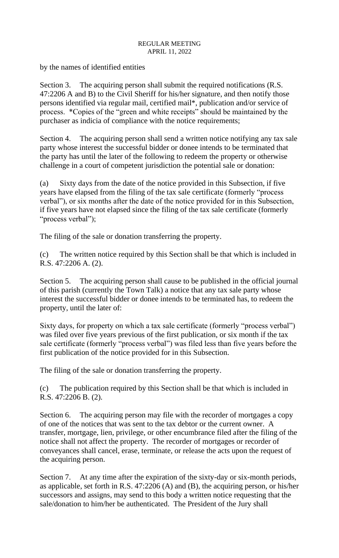by the names of identified entities

Section 3. The acquiring person shall submit the required notifications (R.S. 47:2206 A and B) to the Civil Sheriff for his/her signature, and then notify those persons identified via regular mail, certified mail\*, publication and/or service of process. \*Copies of the "green and white receipts" should be maintained by the purchaser as indicia of compliance with the notice requirements;

Section 4. The acquiring person shall send a written notice notifying any tax sale party whose interest the successful bidder or donee intends to be terminated that the party has until the later of the following to redeem the property or otherwise challenge in a court of competent jurisdiction the potential sale or donation:

(a) Sixty days from the date of the notice provided in this Subsection, if five years have elapsed from the filing of the tax sale certificate (formerly "process verbal"), or six months after the date of the notice provided for in this Subsection, if five years have not elapsed since the filing of the tax sale certificate (formerly "process verbal");

The filing of the sale or donation transferring the property.

(c) The written notice required by this Section shall be that which is included in R.S. 47:2206 A. (2).

Section 5. The acquiring person shall cause to be published in the official journal of this parish (currently the Town Talk) a notice that any tax sale party whose interest the successful bidder or donee intends to be terminated has, to redeem the property, until the later of:

Sixty days, for property on which a tax sale certificate (formerly "process verbal") was filed over five years previous of the first publication, or six month if the tax sale certificate (formerly "process verbal") was filed less than five years before the first publication of the notice provided for in this Subsection.

The filing of the sale or donation transferring the property.

(c) The publication required by this Section shall be that which is included in R.S. 47:2206 B. (2).

Section 6. The acquiring person may file with the recorder of mortgages a copy of one of the notices that was sent to the tax debtor or the current owner. A transfer, mortgage, lien, privilege, or other encumbrance filed after the filing of the notice shall not affect the property. The recorder of mortgages or recorder of conveyances shall cancel, erase, terminate, or release the acts upon the request of the acquiring person.

Section 7. At any time after the expiration of the sixty-day or six-month periods, as applicable, set forth in R.S. 47:2206 (A) and (B), the acquiring person, or his/her successors and assigns, may send to this body a written notice requesting that the sale/donation to him/her be authenticated. The President of the Jury shall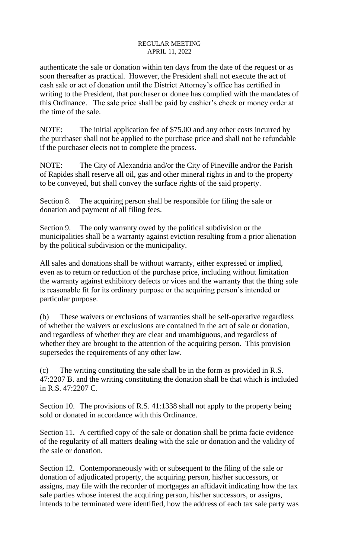authenticate the sale or donation within ten days from the date of the request or as soon thereafter as practical. However, the President shall not execute the act of cash sale or act of donation until the District Attorney's office has certified in writing to the President, that purchaser or donee has complied with the mandates of this Ordinance. The sale price shall be paid by cashier's check or money order at the time of the sale.

NOTE: The initial application fee of \$75.00 and any other costs incurred by the purchaser shall not be applied to the purchase price and shall not be refundable if the purchaser elects not to complete the process.

NOTE: The City of Alexandria and/or the City of Pineville and/or the Parish of Rapides shall reserve all oil, gas and other mineral rights in and to the property to be conveyed, but shall convey the surface rights of the said property.

Section 8. The acquiring person shall be responsible for filing the sale or donation and payment of all filing fees.

Section 9. The only warranty owed by the political subdivision or the municipalities shall be a warranty against eviction resulting from a prior alienation by the political subdivision or the municipality.

All sales and donations shall be without warranty, either expressed or implied, even as to return or reduction of the purchase price, including without limitation the warranty against exhibitory defects or vices and the warranty that the thing sole is reasonable fit for its ordinary purpose or the acquiring person's intended or particular purpose.

(b) These waivers or exclusions of warranties shall be self-operative regardless of whether the waivers or exclusions are contained in the act of sale or donation, and regardless of whether they are clear and unambiguous, and regardless of whether they are brought to the attention of the acquiring person. This provision supersedes the requirements of any other law.

(c) The writing constituting the sale shall be in the form as provided in R.S. 47:2207 B. and the writing constituting the donation shall be that which is included in R.S. 47:2207 C.

Section 10. The provisions of R.S. 41:1338 shall not apply to the property being sold or donated in accordance with this Ordinance.

Section 11. A certified copy of the sale or donation shall be prima facie evidence of the regularity of all matters dealing with the sale or donation and the validity of the sale or donation.

Section 12. Contemporaneously with or subsequent to the filing of the sale or donation of adjudicated property, the acquiring person, his/her successors, or assigns, may file with the recorder of mortgages an affidavit indicating how the tax sale parties whose interest the acquiring person, his/her successors, or assigns, intends to be terminated were identified, how the address of each tax sale party was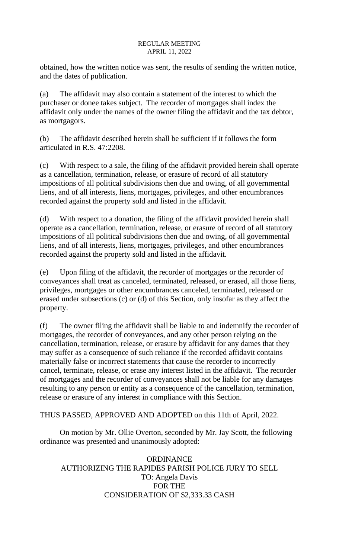obtained, how the written notice was sent, the results of sending the written notice, and the dates of publication.

(a) The affidavit may also contain a statement of the interest to which the purchaser or donee takes subject. The recorder of mortgages shall index the affidavit only under the names of the owner filing the affidavit and the tax debtor, as mortgagors.

(b) The affidavit described herein shall be sufficient if it follows the form articulated in R.S. 47:2208.

(c) With respect to a sale, the filing of the affidavit provided herein shall operate as a cancellation, termination, release, or erasure of record of all statutory impositions of all political subdivisions then due and owing, of all governmental liens, and of all interests, liens, mortgages, privileges, and other encumbrances recorded against the property sold and listed in the affidavit.

(d) With respect to a donation, the filing of the affidavit provided herein shall operate as a cancellation, termination, release, or erasure of record of all statutory impositions of all political subdivisions then due and owing, of all governmental liens, and of all interests, liens, mortgages, privileges, and other encumbrances recorded against the property sold and listed in the affidavit.

(e) Upon filing of the affidavit, the recorder of mortgages or the recorder of conveyances shall treat as canceled, terminated, released, or erased, all those liens, privileges, mortgages or other encumbrances canceled, terminated, released or erased under subsections (c) or (d) of this Section, only insofar as they affect the property.

(f) The owner filing the affidavit shall be liable to and indemnify the recorder of mortgages, the recorder of conveyances, and any other person relying on the cancellation, termination, release, or erasure by affidavit for any dames that they may suffer as a consequence of such reliance if the recorded affidavit contains materially false or incorrect statements that cause the recorder to incorrectly cancel, terminate, release, or erase any interest listed in the affidavit. The recorder of mortgages and the recorder of conveyances shall not be liable for any damages resulting to any person or entity as a consequence of the cancellation, termination, release or erasure of any interest in compliance with this Section.

THUS PASSED, APPROVED AND ADOPTED on this 11th of April, 2022.

On motion by Mr. Ollie Overton, seconded by Mr. Jay Scott, the following ordinance was presented and unanimously adopted:

**ORDINANCE** AUTHORIZING THE RAPIDES PARISH POLICE JURY TO SELL TO: Angela Davis FOR THE CONSIDERATION OF \$2,333.33 CASH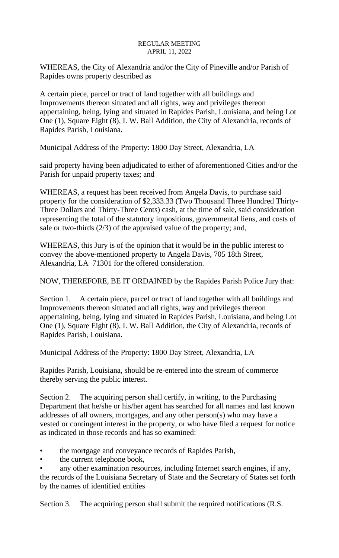WHEREAS, the City of Alexandria and/or the City of Pineville and/or Parish of Rapides owns property described as

A certain piece, parcel or tract of land together with all buildings and Improvements thereon situated and all rights, way and privileges thereon appertaining, being, lying and situated in Rapides Parish, Louisiana, and being Lot One (1), Square Eight (8), I. W. Ball Addition, the City of Alexandria, records of Rapides Parish, Louisiana.

Municipal Address of the Property: 1800 Day Street, Alexandria, LA

said property having been adjudicated to either of aforementioned Cities and/or the Parish for unpaid property taxes; and

WHEREAS, a request has been received from Angela Davis, to purchase said property for the consideration of \$2,333.33 (Two Thousand Three Hundred Thirty-Three Dollars and Thirty-Three Cents) cash, at the time of sale, said consideration representing the total of the statutory impositions, governmental liens, and costs of sale or two-thirds (2/3) of the appraised value of the property; and,

WHEREAS, this Jury is of the opinion that it would be in the public interest to convey the above-mentioned property to Angela Davis, 705 18th Street, Alexandria, LA 71301 for the offered consideration.

NOW, THEREFORE, BE IT ORDAINED by the Rapides Parish Police Jury that:

Section 1. A certain piece, parcel or tract of land together with all buildings and Improvements thereon situated and all rights, way and privileges thereon appertaining, being, lying and situated in Rapides Parish, Louisiana, and being Lot One (1), Square Eight (8), I. W. Ball Addition, the City of Alexandria, records of Rapides Parish, Louisiana.

Municipal Address of the Property: 1800 Day Street, Alexandria, LA

Rapides Parish, Louisiana, should be re-entered into the stream of commerce thereby serving the public interest.

Section 2. The acquiring person shall certify, in writing, to the Purchasing Department that he/she or his/her agent has searched for all names and last known addresses of all owners, mortgages, and any other person(s) who may have a vested or contingent interest in the property, or who have filed a request for notice as indicated in those records and has so examined:

- the mortgage and conveyance records of Rapides Parish,
- the current telephone book,

any other examination resources, including Internet search engines, if any, the records of the Louisiana Secretary of State and the Secretary of States set forth by the names of identified entities

Section 3. The acquiring person shall submit the required notifications (R.S.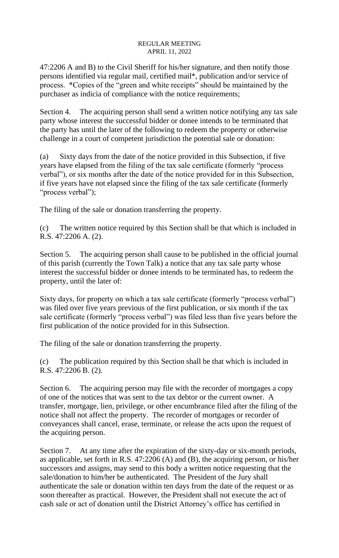47:2206 A and B) to the Civil Sheriff for his/her signature, and then notify those persons identified via regular mail, certified mail\*, publication and/or service of process. \*Copies of the "green and white receipts" should be maintained by the purchaser as indicia of compliance with the notice requirements;

Section 4. The acquiring person shall send a written notice notifying any tax sale party whose interest the successful bidder or donee intends to be terminated that the party has until the later of the following to redeem the property or otherwise challenge in a court of competent jurisdiction the potential sale or donation:

(a) Sixty days from the date of the notice provided in this Subsection, if five years have elapsed from the filing of the tax sale certificate (formerly "process verbal"), or six months after the date of the notice provided for in this Subsection, if five years have not elapsed since the filing of the tax sale certificate (formerly "process verbal");

The filing of the sale or donation transferring the property.

(c) The written notice required by this Section shall be that which is included in R.S. 47:2206 A. (2).

Section 5. The acquiring person shall cause to be published in the official journal of this parish (currently the Town Talk) a notice that any tax sale party whose interest the successful bidder or donee intends to be terminated has, to redeem the property, until the later of:

Sixty days, for property on which a tax sale certificate (formerly "process verbal") was filed over five years previous of the first publication, or six month if the tax sale certificate (formerly "process verbal") was filed less than five years before the first publication of the notice provided for in this Subsection.

The filing of the sale or donation transferring the property.

(c) The publication required by this Section shall be that which is included in R.S. 47:2206 B. (2).

Section 6. The acquiring person may file with the recorder of mortgages a copy of one of the notices that was sent to the tax debtor or the current owner. A transfer, mortgage, lien, privilege, or other encumbrance filed after the filing of the notice shall not affect the property. The recorder of mortgages or recorder of conveyances shall cancel, erase, terminate, or release the acts upon the request of the acquiring person.

Section 7. At any time after the expiration of the sixty-day or six-month periods, as applicable, set forth in R.S. 47:2206 (A) and (B), the acquiring person, or his/her successors and assigns, may send to this body a written notice requesting that the sale/donation to him/her be authenticated. The President of the Jury shall authenticate the sale or donation within ten days from the date of the request or as soon thereafter as practical. However, the President shall not execute the act of cash sale or act of donation until the District Attorney's office has certified in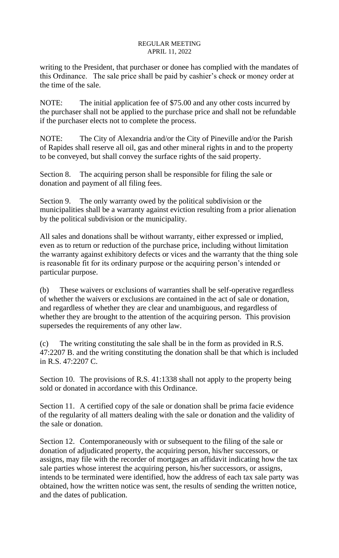writing to the President, that purchaser or donee has complied with the mandates of this Ordinance. The sale price shall be paid by cashier's check or money order at the time of the sale.

NOTE: The initial application fee of \$75.00 and any other costs incurred by the purchaser shall not be applied to the purchase price and shall not be refundable if the purchaser elects not to complete the process.

NOTE: The City of Alexandria and/or the City of Pineville and/or the Parish of Rapides shall reserve all oil, gas and other mineral rights in and to the property to be conveyed, but shall convey the surface rights of the said property.

Section 8. The acquiring person shall be responsible for filing the sale or donation and payment of all filing fees.

Section 9. The only warranty owed by the political subdivision or the municipalities shall be a warranty against eviction resulting from a prior alienation by the political subdivision or the municipality.

All sales and donations shall be without warranty, either expressed or implied, even as to return or reduction of the purchase price, including without limitation the warranty against exhibitory defects or vices and the warranty that the thing sole is reasonable fit for its ordinary purpose or the acquiring person's intended or particular purpose.

(b) These waivers or exclusions of warranties shall be self-operative regardless of whether the waivers or exclusions are contained in the act of sale or donation, and regardless of whether they are clear and unambiguous, and regardless of whether they are brought to the attention of the acquiring person. This provision supersedes the requirements of any other law.

(c) The writing constituting the sale shall be in the form as provided in R.S. 47:2207 B. and the writing constituting the donation shall be that which is included in R.S. 47:2207 C.

Section 10. The provisions of R.S. 41:1338 shall not apply to the property being sold or donated in accordance with this Ordinance.

Section 11. A certified copy of the sale or donation shall be prima facie evidence of the regularity of all matters dealing with the sale or donation and the validity of the sale or donation.

Section 12. Contemporaneously with or subsequent to the filing of the sale or donation of adjudicated property, the acquiring person, his/her successors, or assigns, may file with the recorder of mortgages an affidavit indicating how the tax sale parties whose interest the acquiring person, his/her successors, or assigns, intends to be terminated were identified, how the address of each tax sale party was obtained, how the written notice was sent, the results of sending the written notice, and the dates of publication.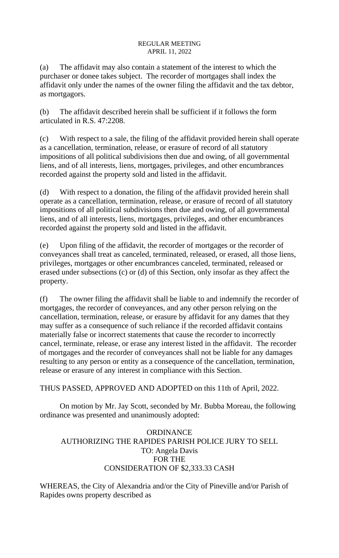(a) The affidavit may also contain a statement of the interest to which the purchaser or donee takes subject. The recorder of mortgages shall index the affidavit only under the names of the owner filing the affidavit and the tax debtor, as mortgagors.

(b) The affidavit described herein shall be sufficient if it follows the form articulated in R.S. 47:2208.

(c) With respect to a sale, the filing of the affidavit provided herein shall operate as a cancellation, termination, release, or erasure of record of all statutory impositions of all political subdivisions then due and owing, of all governmental liens, and of all interests, liens, mortgages, privileges, and other encumbrances recorded against the property sold and listed in the affidavit.

(d) With respect to a donation, the filing of the affidavit provided herein shall operate as a cancellation, termination, release, or erasure of record of all statutory impositions of all political subdivisions then due and owing, of all governmental liens, and of all interests, liens, mortgages, privileges, and other encumbrances recorded against the property sold and listed in the affidavit.

(e) Upon filing of the affidavit, the recorder of mortgages or the recorder of conveyances shall treat as canceled, terminated, released, or erased, all those liens, privileges, mortgages or other encumbrances canceled, terminated, released or erased under subsections (c) or (d) of this Section, only insofar as they affect the property.

(f) The owner filing the affidavit shall be liable to and indemnify the recorder of mortgages, the recorder of conveyances, and any other person relying on the cancellation, termination, release, or erasure by affidavit for any dames that they may suffer as a consequence of such reliance if the recorded affidavit contains materially false or incorrect statements that cause the recorder to incorrectly cancel, terminate, release, or erase any interest listed in the affidavit. The recorder of mortgages and the recorder of conveyances shall not be liable for any damages resulting to any person or entity as a consequence of the cancellation, termination, release or erasure of any interest in compliance with this Section.

THUS PASSED, APPROVED AND ADOPTED on this 11th of April, 2022.

On motion by Mr. Jay Scott, seconded by Mr. Bubba Moreau, the following ordinance was presented and unanimously adopted:

# **ORDINANCE** AUTHORIZING THE RAPIDES PARISH POLICE JURY TO SELL TO: Angela Davis FOR THE CONSIDERATION OF \$2,333.33 CASH

WHEREAS, the City of Alexandria and/or the City of Pineville and/or Parish of Rapides owns property described as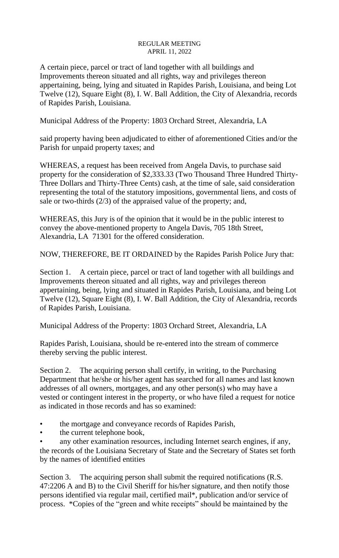A certain piece, parcel or tract of land together with all buildings and Improvements thereon situated and all rights, way and privileges thereon appertaining, being, lying and situated in Rapides Parish, Louisiana, and being Lot Twelve (12), Square Eight (8), I. W. Ball Addition, the City of Alexandria, records of Rapides Parish, Louisiana.

Municipal Address of the Property: 1803 Orchard Street, Alexandria, LA

said property having been adjudicated to either of aforementioned Cities and/or the Parish for unpaid property taxes; and

WHEREAS, a request has been received from Angela Davis, to purchase said property for the consideration of \$2,333.33 (Two Thousand Three Hundred Thirty-Three Dollars and Thirty-Three Cents) cash, at the time of sale, said consideration representing the total of the statutory impositions, governmental liens, and costs of sale or two-thirds (2/3) of the appraised value of the property; and,

WHEREAS, this Jury is of the opinion that it would be in the public interest to convey the above-mentioned property to Angela Davis, 705 18th Street, Alexandria, LA 71301 for the offered consideration.

NOW, THEREFORE, BE IT ORDAINED by the Rapides Parish Police Jury that:

Section 1. A certain piece, parcel or tract of land together with all buildings and Improvements thereon situated and all rights, way and privileges thereon appertaining, being, lying and situated in Rapides Parish, Louisiana, and being Lot Twelve (12), Square Eight (8), I. W. Ball Addition, the City of Alexandria, records of Rapides Parish, Louisiana.

Municipal Address of the Property: 1803 Orchard Street, Alexandria, LA

Rapides Parish, Louisiana, should be re-entered into the stream of commerce thereby serving the public interest.

Section 2. The acquiring person shall certify, in writing, to the Purchasing Department that he/she or his/her agent has searched for all names and last known addresses of all owners, mortgages, and any other person(s) who may have a vested or contingent interest in the property, or who have filed a request for notice as indicated in those records and has so examined:

- the mortgage and conveyance records of Rapides Parish,
- the current telephone book,

any other examination resources, including Internet search engines, if any, the records of the Louisiana Secretary of State and the Secretary of States set forth by the names of identified entities

Section 3. The acquiring person shall submit the required notifications (R.S. 47:2206 A and B) to the Civil Sheriff for his/her signature, and then notify those persons identified via regular mail, certified mail\*, publication and/or service of process. \*Copies of the "green and white receipts" should be maintained by the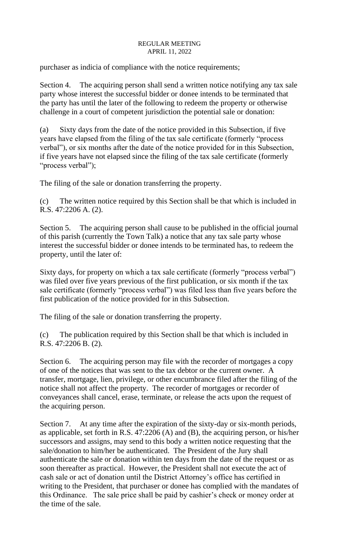purchaser as indicia of compliance with the notice requirements;

Section 4. The acquiring person shall send a written notice notifying any tax sale party whose interest the successful bidder or donee intends to be terminated that the party has until the later of the following to redeem the property or otherwise challenge in a court of competent jurisdiction the potential sale or donation:

(a) Sixty days from the date of the notice provided in this Subsection, if five years have elapsed from the filing of the tax sale certificate (formerly "process verbal"), or six months after the date of the notice provided for in this Subsection, if five years have not elapsed since the filing of the tax sale certificate (formerly "process verbal");

The filing of the sale or donation transferring the property.

(c) The written notice required by this Section shall be that which is included in R.S. 47:2206 A. (2).

Section 5. The acquiring person shall cause to be published in the official journal of this parish (currently the Town Talk) a notice that any tax sale party whose interest the successful bidder or donee intends to be terminated has, to redeem the property, until the later of:

Sixty days, for property on which a tax sale certificate (formerly "process verbal") was filed over five years previous of the first publication, or six month if the tax sale certificate (formerly "process verbal") was filed less than five years before the first publication of the notice provided for in this Subsection.

The filing of the sale or donation transferring the property.

(c) The publication required by this Section shall be that which is included in R.S. 47:2206 B. (2).

Section 6. The acquiring person may file with the recorder of mortgages a copy of one of the notices that was sent to the tax debtor or the current owner. A transfer, mortgage, lien, privilege, or other encumbrance filed after the filing of the notice shall not affect the property. The recorder of mortgages or recorder of conveyances shall cancel, erase, terminate, or release the acts upon the request of the acquiring person.

Section 7. At any time after the expiration of the sixty-day or six-month periods, as applicable, set forth in R.S. 47:2206 (A) and (B), the acquiring person, or his/her successors and assigns, may send to this body a written notice requesting that the sale/donation to him/her be authenticated. The President of the Jury shall authenticate the sale or donation within ten days from the date of the request or as soon thereafter as practical. However, the President shall not execute the act of cash sale or act of donation until the District Attorney's office has certified in writing to the President, that purchaser or donee has complied with the mandates of this Ordinance. The sale price shall be paid by cashier's check or money order at the time of the sale.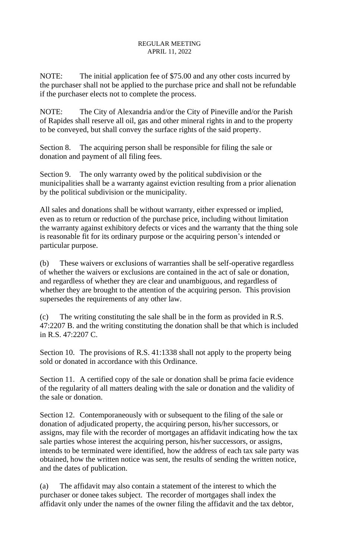NOTE: The initial application fee of \$75.00 and any other costs incurred by the purchaser shall not be applied to the purchase price and shall not be refundable if the purchaser elects not to complete the process.

NOTE: The City of Alexandria and/or the City of Pineville and/or the Parish of Rapides shall reserve all oil, gas and other mineral rights in and to the property to be conveyed, but shall convey the surface rights of the said property.

Section 8. The acquiring person shall be responsible for filing the sale or donation and payment of all filing fees.

Section 9. The only warranty owed by the political subdivision or the municipalities shall be a warranty against eviction resulting from a prior alienation by the political subdivision or the municipality.

All sales and donations shall be without warranty, either expressed or implied, even as to return or reduction of the purchase price, including without limitation the warranty against exhibitory defects or vices and the warranty that the thing sole is reasonable fit for its ordinary purpose or the acquiring person's intended or particular purpose.

(b) These waivers or exclusions of warranties shall be self-operative regardless of whether the waivers or exclusions are contained in the act of sale or donation, and regardless of whether they are clear and unambiguous, and regardless of whether they are brought to the attention of the acquiring person. This provision supersedes the requirements of any other law.

(c) The writing constituting the sale shall be in the form as provided in R.S. 47:2207 B. and the writing constituting the donation shall be that which is included in R.S. 47:2207 C.

Section 10. The provisions of R.S. 41:1338 shall not apply to the property being sold or donated in accordance with this Ordinance.

Section 11. A certified copy of the sale or donation shall be prima facie evidence of the regularity of all matters dealing with the sale or donation and the validity of the sale or donation.

Section 12. Contemporaneously with or subsequent to the filing of the sale or donation of adjudicated property, the acquiring person, his/her successors, or assigns, may file with the recorder of mortgages an affidavit indicating how the tax sale parties whose interest the acquiring person, his/her successors, or assigns, intends to be terminated were identified, how the address of each tax sale party was obtained, how the written notice was sent, the results of sending the written notice, and the dates of publication.

(a) The affidavit may also contain a statement of the interest to which the purchaser or donee takes subject. The recorder of mortgages shall index the affidavit only under the names of the owner filing the affidavit and the tax debtor,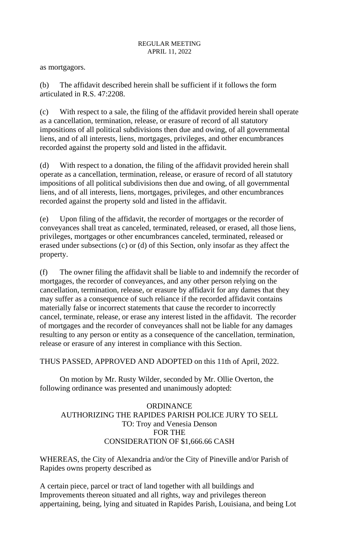as mortgagors.

(b) The affidavit described herein shall be sufficient if it follows the form articulated in R.S. 47:2208.

(c) With respect to a sale, the filing of the affidavit provided herein shall operate as a cancellation, termination, release, or erasure of record of all statutory impositions of all political subdivisions then due and owing, of all governmental liens, and of all interests, liens, mortgages, privileges, and other encumbrances recorded against the property sold and listed in the affidavit.

(d) With respect to a donation, the filing of the affidavit provided herein shall operate as a cancellation, termination, release, or erasure of record of all statutory impositions of all political subdivisions then due and owing, of all governmental liens, and of all interests, liens, mortgages, privileges, and other encumbrances recorded against the property sold and listed in the affidavit.

(e) Upon filing of the affidavit, the recorder of mortgages or the recorder of conveyances shall treat as canceled, terminated, released, or erased, all those liens, privileges, mortgages or other encumbrances canceled, terminated, released or erased under subsections (c) or (d) of this Section, only insofar as they affect the property.

(f) The owner filing the affidavit shall be liable to and indemnify the recorder of mortgages, the recorder of conveyances, and any other person relying on the cancellation, termination, release, or erasure by affidavit for any dames that they may suffer as a consequence of such reliance if the recorded affidavit contains materially false or incorrect statements that cause the recorder to incorrectly cancel, terminate, release, or erase any interest listed in the affidavit. The recorder of mortgages and the recorder of conveyances shall not be liable for any damages resulting to any person or entity as a consequence of the cancellation, termination, release or erasure of any interest in compliance with this Section.

THUS PASSED, APPROVED AND ADOPTED on this 11th of April, 2022.

On motion by Mr. Rusty Wilder, seconded by Mr. Ollie Overton, the following ordinance was presented and unanimously adopted:

**ORDINANCE** AUTHORIZING THE RAPIDES PARISH POLICE JURY TO SELL TO: Troy and Venesia Denson FOR THE CONSIDERATION OF \$1,666.66 CASH

WHEREAS, the City of Alexandria and/or the City of Pineville and/or Parish of Rapides owns property described as

A certain piece, parcel or tract of land together with all buildings and Improvements thereon situated and all rights, way and privileges thereon appertaining, being, lying and situated in Rapides Parish, Louisiana, and being Lot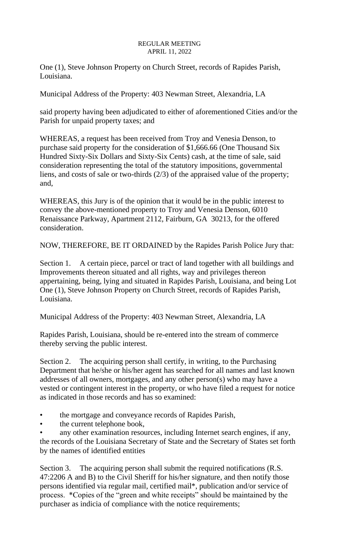One (1), Steve Johnson Property on Church Street, records of Rapides Parish, Louisiana.

Municipal Address of the Property: 403 Newman Street, Alexandria, LA

said property having been adjudicated to either of aforementioned Cities and/or the Parish for unpaid property taxes; and

WHEREAS, a request has been received from Troy and Venesia Denson, to purchase said property for the consideration of \$1,666.66 (One Thousand Six Hundred Sixty-Six Dollars and Sixty-Six Cents) cash, at the time of sale, said consideration representing the total of the statutory impositions, governmental liens, and costs of sale or two-thirds (2/3) of the appraised value of the property; and,

WHEREAS, this Jury is of the opinion that it would be in the public interest to convey the above-mentioned property to Troy and Venesia Denson, 6010 Renaissance Parkway, Apartment 2112, Fairburn, GA 30213, for the offered consideration.

NOW, THEREFORE, BE IT ORDAINED by the Rapides Parish Police Jury that:

Section 1. A certain piece, parcel or tract of land together with all buildings and Improvements thereon situated and all rights, way and privileges thereon appertaining, being, lying and situated in Rapides Parish, Louisiana, and being Lot One (1), Steve Johnson Property on Church Street, records of Rapides Parish, Louisiana.

Municipal Address of the Property: 403 Newman Street, Alexandria, LA

Rapides Parish, Louisiana, should be re-entered into the stream of commerce thereby serving the public interest.

Section 2. The acquiring person shall certify, in writing, to the Purchasing Department that he/she or his/her agent has searched for all names and last known addresses of all owners, mortgages, and any other person(s) who may have a vested or contingent interest in the property, or who have filed a request for notice as indicated in those records and has so examined:

- the mortgage and conveyance records of Rapides Parish,
- the current telephone book,

any other examination resources, including Internet search engines, if any, the records of the Louisiana Secretary of State and the Secretary of States set forth by the names of identified entities

Section 3. The acquiring person shall submit the required notifications (R.S. 47:2206 A and B) to the Civil Sheriff for his/her signature, and then notify those persons identified via regular mail, certified mail\*, publication and/or service of process. \*Copies of the "green and white receipts" should be maintained by the purchaser as indicia of compliance with the notice requirements;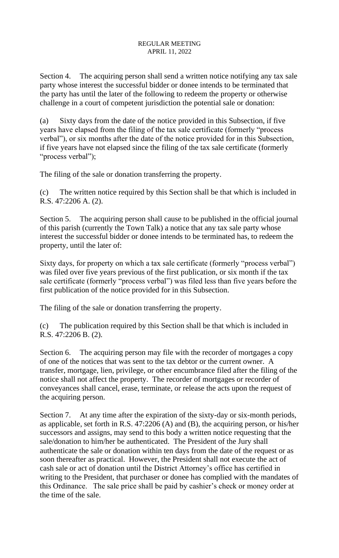Section 4. The acquiring person shall send a written notice notifying any tax sale party whose interest the successful bidder or donee intends to be terminated that the party has until the later of the following to redeem the property or otherwise challenge in a court of competent jurisdiction the potential sale or donation:

(a) Sixty days from the date of the notice provided in this Subsection, if five years have elapsed from the filing of the tax sale certificate (formerly "process verbal"), or six months after the date of the notice provided for in this Subsection, if five years have not elapsed since the filing of the tax sale certificate (formerly "process verbal");

The filing of the sale or donation transferring the property.

(c) The written notice required by this Section shall be that which is included in R.S. 47:2206 A. (2).

Section 5. The acquiring person shall cause to be published in the official journal of this parish (currently the Town Talk) a notice that any tax sale party whose interest the successful bidder or donee intends to be terminated has, to redeem the property, until the later of:

Sixty days, for property on which a tax sale certificate (formerly "process verbal") was filed over five years previous of the first publication, or six month if the tax sale certificate (formerly "process verbal") was filed less than five years before the first publication of the notice provided for in this Subsection.

The filing of the sale or donation transferring the property.

(c) The publication required by this Section shall be that which is included in R.S. 47:2206 B. (2).

Section 6. The acquiring person may file with the recorder of mortgages a copy of one of the notices that was sent to the tax debtor or the current owner. A transfer, mortgage, lien, privilege, or other encumbrance filed after the filing of the notice shall not affect the property. The recorder of mortgages or recorder of conveyances shall cancel, erase, terminate, or release the acts upon the request of the acquiring person.

Section 7. At any time after the expiration of the sixty-day or six-month periods, as applicable, set forth in R.S. 47:2206 (A) and (B), the acquiring person, or his/her successors and assigns, may send to this body a written notice requesting that the sale/donation to him/her be authenticated. The President of the Jury shall authenticate the sale or donation within ten days from the date of the request or as soon thereafter as practical. However, the President shall not execute the act of cash sale or act of donation until the District Attorney's office has certified in writing to the President, that purchaser or donee has complied with the mandates of this Ordinance. The sale price shall be paid by cashier's check or money order at the time of the sale.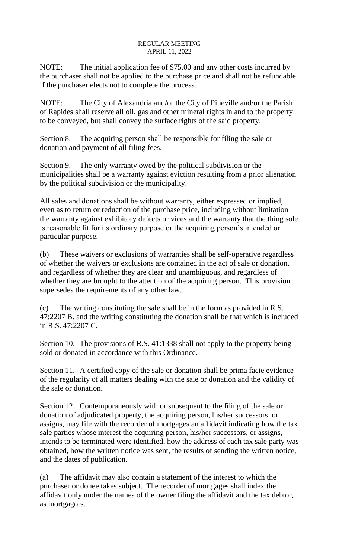NOTE: The initial application fee of \$75.00 and any other costs incurred by the purchaser shall not be applied to the purchase price and shall not be refundable if the purchaser elects not to complete the process.

NOTE: The City of Alexandria and/or the City of Pineville and/or the Parish of Rapides shall reserve all oil, gas and other mineral rights in and to the property to be conveyed, but shall convey the surface rights of the said property.

Section 8. The acquiring person shall be responsible for filing the sale or donation and payment of all filing fees.

Section 9. The only warranty owed by the political subdivision or the municipalities shall be a warranty against eviction resulting from a prior alienation by the political subdivision or the municipality.

All sales and donations shall be without warranty, either expressed or implied, even as to return or reduction of the purchase price, including without limitation the warranty against exhibitory defects or vices and the warranty that the thing sole is reasonable fit for its ordinary purpose or the acquiring person's intended or particular purpose.

(b) These waivers or exclusions of warranties shall be self-operative regardless of whether the waivers or exclusions are contained in the act of sale or donation, and regardless of whether they are clear and unambiguous, and regardless of whether they are brought to the attention of the acquiring person. This provision supersedes the requirements of any other law.

(c) The writing constituting the sale shall be in the form as provided in R.S. 47:2207 B. and the writing constituting the donation shall be that which is included in R.S. 47:2207 C.

Section 10. The provisions of R.S. 41:1338 shall not apply to the property being sold or donated in accordance with this Ordinance.

Section 11. A certified copy of the sale or donation shall be prima facie evidence of the regularity of all matters dealing with the sale or donation and the validity of the sale or donation.

Section 12. Contemporaneously with or subsequent to the filing of the sale or donation of adjudicated property, the acquiring person, his/her successors, or assigns, may file with the recorder of mortgages an affidavit indicating how the tax sale parties whose interest the acquiring person, his/her successors, or assigns, intends to be terminated were identified, how the address of each tax sale party was obtained, how the written notice was sent, the results of sending the written notice, and the dates of publication.

(a) The affidavit may also contain a statement of the interest to which the purchaser or donee takes subject. The recorder of mortgages shall index the affidavit only under the names of the owner filing the affidavit and the tax debtor, as mortgagors.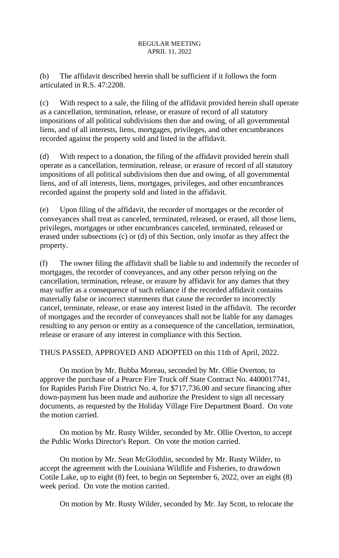(b) The affidavit described herein shall be sufficient if it follows the form articulated in R.S. 47:2208.

(c) With respect to a sale, the filing of the affidavit provided herein shall operate as a cancellation, termination, release, or erasure of record of all statutory impositions of all political subdivisions then due and owing, of all governmental liens, and of all interests, liens, mortgages, privileges, and other encumbrances recorded against the property sold and listed in the affidavit.

(d) With respect to a donation, the filing of the affidavit provided herein shall operate as a cancellation, termination, release, or erasure of record of all statutory impositions of all political subdivisions then due and owing, of all governmental liens, and of all interests, liens, mortgages, privileges, and other encumbrances recorded against the property sold and listed in the affidavit.

(e) Upon filing of the affidavit, the recorder of mortgages or the recorder of conveyances shall treat as canceled, terminated, released, or erased, all those liens, privileges, mortgages or other encumbrances canceled, terminated, released or erased under subsections (c) or (d) of this Section, only insofar as they affect the property.

(f) The owner filing the affidavit shall be liable to and indemnify the recorder of mortgages, the recorder of conveyances, and any other person relying on the cancellation, termination, release, or erasure by affidavit for any dames that they may suffer as a consequence of such reliance if the recorded affidavit contains materially false or incorrect statements that cause the recorder to incorrectly cancel, terminate, release, or erase any interest listed in the affidavit. The recorder of mortgages and the recorder of conveyances shall not be liable for any damages resulting to any person or entity as a consequence of the cancellation, termination, release or erasure of any interest in compliance with this Section.

THUS PASSED, APPROVED AND ADOPTED on this 11th of April, 2022.

On motion by Mr. Bubba Moreau, seconded by Mr. Ollie Overton, to approve the purchase of a Pearce Fire Truck off State Contract No. 4400017741, for Rapides Parish Fire District No. 4, for \$717,736.00 and secure financing after down-payment has been made and authorize the President to sign all necessary documents, as requested by the Holiday Village Fire Department Board. On vote the motion carried.

On motion by Mr. Rusty Wilder, seconded by Mr. Ollie Overton, to accept the Public Works Director's Report. On vote the motion carried.

On motion by Mr. Sean McGlothlin, seconded by Mr. Rusty Wilder, to accept the agreement with the Louisiana Wildlife and Fisheries, to drawdown Cotile Lake, up to eight (8) feet, to begin on September 6, 2022, over an eight (8) week period. On vote the motion carried.

On motion by Mr. Rusty Wilder, seconded by Mr. Jay Scott, to relocate the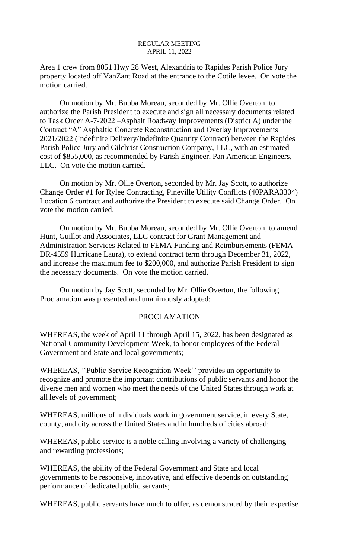Area 1 crew from 8051 Hwy 28 West, Alexandria to Rapides Parish Police Jury property located off VanZant Road at the entrance to the Cotile levee. On vote the motion carried.

On motion by Mr. Bubba Moreau, seconded by Mr. Ollie Overton, to authorize the Parish President to execute and sign all necessary documents related to Task Order A-7-2022 –Asphalt Roadway Improvements (District A) under the Contract "A" Asphaltic Concrete Reconstruction and Overlay Improvements 2021/2022 (Indefinite Delivery/Indefinite Quantity Contract) between the Rapides Parish Police Jury and Gilchrist Construction Company, LLC, with an estimated cost of \$855,000, as recommended by Parish Engineer, Pan American Engineers, LLC. On vote the motion carried.

On motion by Mr. Ollie Overton, seconded by Mr. Jay Scott, to authorize Change Order #1 for Rylee Contracting, Pineville Utility Conflicts (40PARA3304) Location 6 contract and authorize the President to execute said Change Order. On vote the motion carried.

On motion by Mr. Bubba Moreau, seconded by Mr. Ollie Overton, to amend Hunt, Guillot and Associates, LLC contract for Grant Management and Administration Services Related to FEMA Funding and Reimbursements (FEMA DR-4559 Hurricane Laura), to extend contract term through December 31, 2022, and increase the maximum fee to \$200,000, and authorize Parish President to sign the necessary documents. On vote the motion carried.

On motion by Jay Scott, seconded by Mr. Ollie Overton, the following Proclamation was presented and unanimously adopted:

# PROCLAMATION

WHEREAS, the week of April 11 through April 15, 2022, has been designated as National Community Development Week, to honor employees of the Federal Government and State and local governments;

WHEREAS, ''Public Service Recognition Week'' provides an opportunity to recognize and promote the important contributions of public servants and honor the diverse men and women who meet the needs of the United States through work at all levels of government;

WHEREAS, millions of individuals work in government service, in every State, county, and city across the United States and in hundreds of cities abroad;

WHEREAS, public service is a noble calling involving a variety of challenging and rewarding professions;

WHEREAS, the ability of the Federal Government and State and local governments to be responsive, innovative, and effective depends on outstanding performance of dedicated public servants;

WHEREAS, public servants have much to offer, as demonstrated by their expertise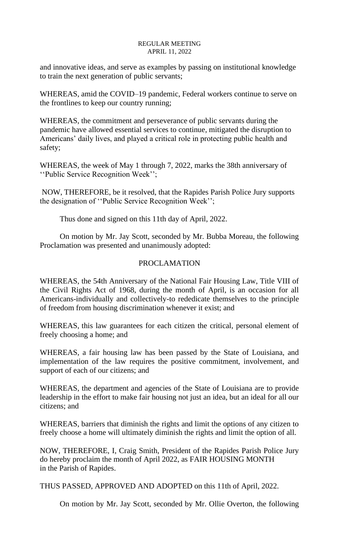and innovative ideas, and serve as examples by passing on institutional knowledge to train the next generation of public servants;

WHEREAS, amid the COVID–19 pandemic, Federal workers continue to serve on the frontlines to keep our country running;

WHEREAS, the commitment and perseverance of public servants during the pandemic have allowed essential services to continue, mitigated the disruption to Americans' daily lives, and played a critical role in protecting public health and safety;

WHEREAS, the week of May 1 through 7, 2022, marks the 38th anniversary of ''Public Service Recognition Week'';

NOW, THEREFORE, be it resolved, that the Rapides Parish Police Jury supports the designation of ''Public Service Recognition Week'';

Thus done and signed on this 11th day of April, 2022.

On motion by Mr. Jay Scott, seconded by Mr. Bubba Moreau, the following Proclamation was presented and unanimously adopted:

# PROCLAMATION

WHEREAS, the 54th Anniversary of the National Fair Housing Law, Title VIII of the Civil Rights Act of 1968, during the month of April, is an occasion for all Americans-individually and collectively-to rededicate themselves to the principle of freedom from housing discrimination whenever it exist; and

WHEREAS, this law guarantees for each citizen the critical, personal element of freely choosing a home; and

WHEREAS, a fair housing law has been passed by the State of Louisiana, and implementation of the law requires the positive commitment, involvement, and support of each of our citizens; and

WHEREAS, the department and agencies of the State of Louisiana are to provide leadership in the effort to make fair housing not just an idea, but an ideal for all our citizens; and

WHEREAS, barriers that diminish the rights and limit the options of any citizen to freely choose a home will ultimately diminish the rights and limit the option of all.

NOW, THEREFORE, I, Craig Smith, President of the Rapides Parish Police Jury do hereby proclaim the month of April 2022, as FAIR HOUSING MONTH in the Parish of Rapides.

THUS PASSED, APPROVED AND ADOPTED on this 11th of April, 2022.

On motion by Mr. Jay Scott, seconded by Mr. Ollie Overton, the following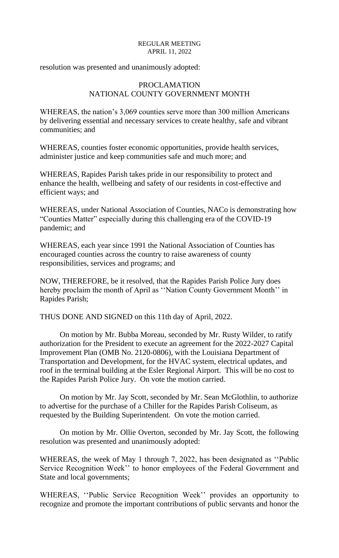resolution was presented and unanimously adopted:

# PROCLAMATION NATIONAL COUNTY GOVERNMENT MONTH

WHEREAS, the nation's 3,069 counties serve more than 300 million Americans by delivering essential and necessary services to create healthy, safe and vibrant communities; and

WHEREAS, counties foster economic opportunities, provide health services, administer justice and keep communities safe and much more; and

WHEREAS, Rapides Parish takes pride in our responsibility to protect and enhance the health, wellbeing and safety of our residents in cost-effective and efficient ways; and

WHEREAS, under National Association of Counties, NACo is demonstrating how "Counties Matter" especially during this challenging era of the COVID-19 pandemic; and

WHEREAS, each year since 1991 the National Association of Counties has encouraged counties across the country to raise awareness of county responsibilities, services and programs; and

NOW, THEREFORE, be it resolved, that the Rapides Parish Police Jury does hereby proclaim the month of April as ''Nation County Government Month'' in Rapides Parish;

THUS DONE AND SIGNED on this 11th day of April, 2022.

On motion by Mr. Bubba Moreau, seconded by Mr. Rusty Wilder, to ratify authorization for the President to execute an agreement for the 2022-2027 Capital Improvement Plan (OMB No. 2120-0806), with the Louisiana Department of Transportation and Development, for the HVAC system, electrical updates, and roof in the terminal building at the Esler Regional Airport. This will be no cost to the Rapides Parish Police Jury. On vote the motion carried.

On motion by Mr. Jay Scott, seconded by Mr. Sean McGlothlin, to authorize to advertise for the purchase of a Chiller for the Rapides Parish Coliseum, as requested by the Building Superintendent. On vote the motion carried.

On motion by Mr. Ollie Overton, seconded by Mr. Jay Scott, the following resolution was presented and unanimously adopted:

WHEREAS, the week of May 1 through 7, 2022, has been designated as ''Public Service Recognition Week'' to honor employees of the Federal Government and State and local governments;

WHEREAS, ''Public Service Recognition Week'' provides an opportunity to recognize and promote the important contributions of public servants and honor the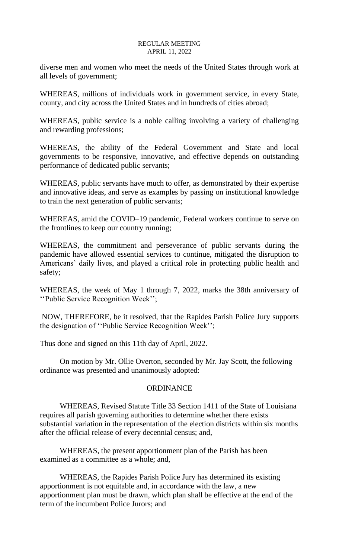diverse men and women who meet the needs of the United States through work at all levels of government;

WHEREAS, millions of individuals work in government service, in every State, county, and city across the United States and in hundreds of cities abroad;

WHEREAS, public service is a noble calling involving a variety of challenging and rewarding professions;

WHEREAS, the ability of the Federal Government and State and local governments to be responsive, innovative, and effective depends on outstanding performance of dedicated public servants;

WHEREAS, public servants have much to offer, as demonstrated by their expertise and innovative ideas, and serve as examples by passing on institutional knowledge to train the next generation of public servants;

WHEREAS, amid the COVID–19 pandemic, Federal workers continue to serve on the frontlines to keep our country running;

WHEREAS, the commitment and perseverance of public servants during the pandemic have allowed essential services to continue, mitigated the disruption to Americans' daily lives, and played a critical role in protecting public health and safety;

WHEREAS, the week of May 1 through 7, 2022, marks the 38th anniversary of ''Public Service Recognition Week'';

NOW, THEREFORE, be it resolved, that the Rapides Parish Police Jury supports the designation of ''Public Service Recognition Week'';

Thus done and signed on this 11th day of April, 2022.

On motion by Mr. Ollie Overton, seconded by Mr. Jay Scott, the following ordinance was presented and unanimously adopted:

# **ORDINANCE**

WHEREAS, Revised Statute Title 33 Section 1411 of the State of Louisiana requires all parish governing authorities to determine whether there exists substantial variation in the representation of the election districts within six months after the official release of every decennial census; and,

WHEREAS, the present apportionment plan of the Parish has been examined as a committee as a whole; and,

WHEREAS, the Rapides Parish Police Jury has determined its existing apportionment is not equitable and, in accordance with the law, a new apportionment plan must be drawn, which plan shall be effective at the end of the term of the incumbent Police Jurors; and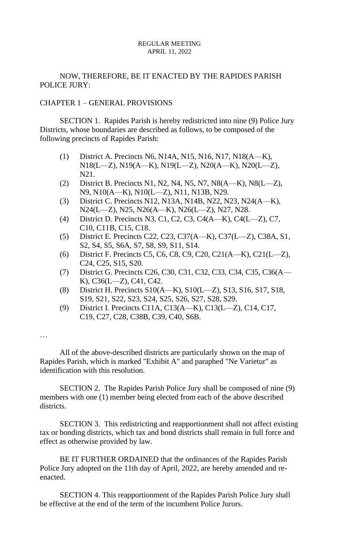# NOW, THEREFORE, BE IT ENACTED BY THE RAPIDES PARISH POLICE JURY:

## CHAPTER 1 – GENERAL PROVISIONS

SECTION 1. Rapides Parish is hereby redistricted into nine (9) Police Jury Districts, whose boundaries are described as follows, to be composed of the following precincts of Rapides Parish:

- (1) District A. Precincts N6, N14A, N15, N16, N17, N18(A—K), N18(L—Z), N19(A—K), N19(L—Z), N20(A—K), N20(L—Z), N21.
- (2) District B. Precincts N1, N2, N4, N5, N7, N8(A—K), N8(L—Z), N9, N10(A—K), N10(L—Z), N11, N13B, N29.
- (3) District C. Precincts N12, N13A, N14B, N22, N23, N24(A—K), N24(L—Z), N25, N26(A—K), N26(L—Z), N27, N28.
- (4) District D. Precincts N3, C1, C2, C3, C4(A—K), C4(L—Z), C7, C10, C11B, C15, C18.
- (5) District E. Precincts C22, C23, C37(A—K), C37(L—Z), C38A, S1, S2, S4, S5, S6A, S7, S8, S9, S11, S14.
- (6) District F. Precincts C5, C6, C8, C9, C20, C21(A—K), C21(L—Z), C24, C25, S15, S20.
- (7) District G. Precincts C26, C30, C31, C32, C33, C34, C35, C36(A— K), C36(L—Z), C41, C42.
- (8) District H. Precincts S10(A—K), S10(L—Z), S13, S16, S17, S18, S19, S21, S22, S23, S24, S25, S26, S27, S28, S29.
- (9) District I. Precincts C11A, C13(A—K), C13(L—Z), C14, C17, C19, C27, C28, C38B, C39, C40, S6B.

…

All of the above-described districts are particularly shown on the map of Rapides Parish, which is marked "Exhibit A" and paraphed "Ne Varietur" as identification with this resolution.

SECTION 2. The Rapides Parish Police Jury shall be composed of nine (9) members with one (1) member being elected from each of the above described districts.

SECTION 3. This redistricting and reapportionment shall not affect existing tax or bonding districts, which tax and bond districts shall remain in full force and effect as otherwise provided by law.

BE IT FURTHER ORDAINED that the ordinances of the Rapides Parish Police Jury adopted on the 11th day of April, 2022, are hereby amended and reenacted.

SECTION 4. This reapportionment of the Rapides Parish Police Jury shall be effective at the end of the term of the incumbent Police Jurors.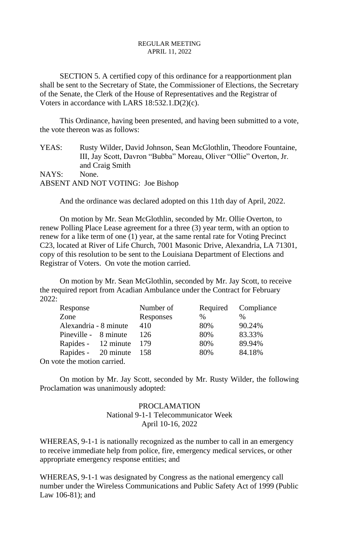SECTION 5. A certified copy of this ordinance for a reapportionment plan shall be sent to the Secretary of State, the Commissioner of Elections, the Secretary of the Senate, the Clerk of the House of Representatives and the Registrar of Voters in accordance with LARS 18:532.1.D(2)(c).

This Ordinance, having been presented, and having been submitted to a vote, the vote thereon was as follows:

YEAS: Rusty Wilder, David Johnson, Sean McGlothlin, Theodore Fountaine, III, Jay Scott, Davron "Bubba" Moreau, Oliver "Ollie" Overton, Jr. and Craig Smith NAYS: None. ABSENT AND NOT VOTING: Joe Bishop

And the ordinance was declared adopted on this 11th day of April, 2022.

On motion by Mr. Sean McGlothlin, seconded by Mr. Ollie Overton, to renew Polling Place Lease agreement for a three (3) year term, with an option to renew for a like term of one (1) year, at the same rental rate for Voting Precinct C23, located at River of Life Church, 7001 Masonic Drive, Alexandria, LA 71301, copy of this resolution to be sent to the Louisiana Department of Elections and Registrar of Voters. On vote the motion carried.

On motion by Mr. Sean McGlothlin, seconded by Mr. Jay Scott, to receive the required report from Acadian Ambulance under the Contract for February 2022:

| Response                |  | Number of |      | Required Compliance |  |
|-------------------------|--|-----------|------|---------------------|--|
| Zone                    |  | Responses | $\%$ | %                   |  |
| Alexandria - 8 minute   |  | 410       | 80%  | 90.24%              |  |
| Pineville - 8 minute    |  | 126       | 80%  | 83.33%              |  |
| Rapides - 12 minute 179 |  |           | 80%  | 89.94%              |  |
| Rapides - 20 minute 158 |  |           | 80%  | 84.18%              |  |
| oto the motion comical  |  |           |      |                     |  |

On vote the motion carried.

On motion by Mr. Jay Scott, seconded by Mr. Rusty Wilder, the following Proclamation was unanimously adopted:

# PROCLAMATION National 9-1-1 Telecommunicator Week April 10-16, 2022

WHEREAS, 9-1-1 is nationally recognized as the number to call in an emergency to receive immediate help from police, fire, emergency medical services, or other appropriate emergency response entities; and

WHEREAS, 9-1-1 was designated by Congress as the national emergency call number under the Wireless Communications and Public Safety Act of 1999 (Public Law 106-81); and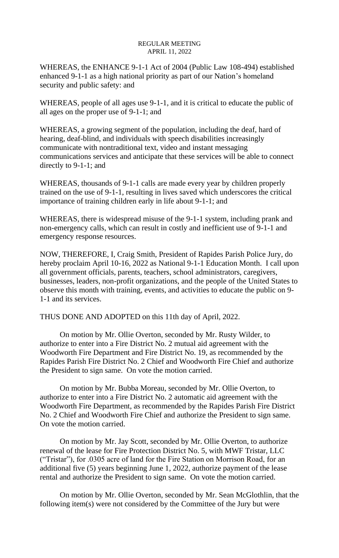WHEREAS, the ENHANCE 9-1-1 Act of 2004 (Public Law 108-494) established enhanced 9-1-1 as a high national priority as part of our Nation's homeland security and public safety: and

WHEREAS, people of all ages use 9-1-1, and it is critical to educate the public of all ages on the proper use of 9-1-1; and

WHEREAS, a growing segment of the population, including the deaf, hard of hearing, deaf-blind, and individuals with speech disabilities increasingly communicate with nontraditional text, video and instant messaging communications services and anticipate that these services will be able to connect directly to 9-1-1; and

WHEREAS, thousands of 9-1-1 calls are made every year by children properly trained on the use of 9-1-1, resulting in lives saved which underscores the critical importance of training children early in life about 9-1-1; and

WHEREAS, there is widespread misuse of the 9-1-1 system, including prank and non-emergency calls, which can result in costly and inefficient use of 9-1-1 and emergency response resources.

NOW, THEREFORE, I, Craig Smith, President of Rapides Parish Police Jury, do hereby proclaim April 10-16, 2022 as National 9-1-1 Education Month. I call upon all government officials, parents, teachers, school administrators, caregivers, businesses, leaders, non-profit organizations, and the people of the United States to observe this month with training, events, and activities to educate the public on 9- 1-1 and its services.

THUS DONE AND ADOPTED on this 11th day of April, 2022.

On motion by Mr. Ollie Overton, seconded by Mr. Rusty Wilder, to authorize to enter into a Fire District No. 2 mutual aid agreement with the Woodworth Fire Department and Fire District No. 19, as recommended by the Rapides Parish Fire District No. 2 Chief and Woodworth Fire Chief and authorize the President to sign same. On vote the motion carried.

On motion by Mr. Bubba Moreau, seconded by Mr. Ollie Overton, to authorize to enter into a Fire District No. 2 automatic aid agreement with the Woodworth Fire Department, as recommended by the Rapides Parish Fire District No. 2 Chief and Woodworth Fire Chief and authorize the President to sign same. On vote the motion carried.

On motion by Mr. Jay Scott, seconded by Mr. Ollie Overton, to authorize renewal of the lease for Fire Protection District No. 5, with MWF Tristar, LLC ("Tristar"), for .0305 acre of land for the Fire Station on Morrison Road, for an additional five (5) years beginning June 1, 2022, authorize payment of the lease rental and authorize the President to sign same. On vote the motion carried.

On motion by Mr. Ollie Overton, seconded by Mr. Sean McGlothlin, that the following item(s) were not considered by the Committee of the Jury but were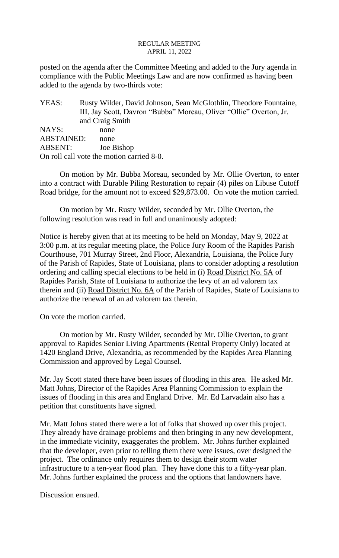posted on the agenda after the Committee Meeting and added to the Jury agenda in compliance with the Public Meetings Law and are now confirmed as having been added to the agenda by two-thirds vote:

YEAS: Rusty Wilder, David Johnson, Sean McGlothlin, Theodore Fountaine, III, Jay Scott, Davron "Bubba" Moreau, Oliver "Ollie" Overton, Jr. and Craig Smith NAYS: none ABSTAINED: none ABSENT: Joe Bishop On roll call vote the motion carried 8-0.

On motion by Mr. Bubba Moreau, seconded by Mr. Ollie Overton, to enter into a contract with Durable Piling Restoration to repair (4) piles on Libuse Cutoff Road bridge, for the amount not to exceed \$29,873.00. On vote the motion carried.

On motion by Mr. Rusty Wilder, seconded by Mr. Ollie Overton, the following resolution was read in full and unanimously adopted:

Notice is hereby given that at its meeting to be held on Monday, May 9, 2022 at 3:00 p.m. at its regular meeting place, the Police Jury Room of the Rapides Parish Courthouse, 701 Murray Street, 2nd Floor, Alexandria, Louisiana, the Police Jury of the Parish of Rapides, State of Louisiana, plans to consider adopting a resolution ordering and calling special elections to be held in (i) Road District No. 5A of Rapides Parish, State of Louisiana to authorize the levy of an ad valorem tax therein and (ii) Road District No. 6A of the Parish of Rapides, State of Louisiana to authorize the renewal of an ad valorem tax therein.

On vote the motion carried.

On motion by Mr. Rusty Wilder, seconded by Mr. Ollie Overton, to grant approval to Rapides Senior Living Apartments (Rental Property Only) located at 1420 England Drive, Alexandria, as recommended by the Rapides Area Planning Commission and approved by Legal Counsel.

Mr. Jay Scott stated there have been issues of flooding in this area. He asked Mr. Matt Johns, Director of the Rapides Area Planning Commission to explain the issues of flooding in this area and England Drive. Mr. Ed Larvadain also has a petition that constituents have signed.

Mr. Matt Johns stated there were a lot of folks that showed up over this project. They already have drainage problems and then bringing in any new development, in the immediate vicinity, exaggerates the problem. Mr. Johns further explained that the developer, even prior to telling them there were issues, over designed the project. The ordinance only requires them to design their storm water infrastructure to a ten-year flood plan. They have done this to a fifty-year plan. Mr. Johns further explained the process and the options that landowners have.

Discussion ensued.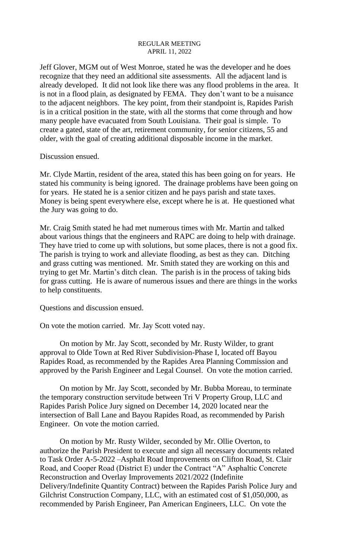Jeff Glover, MGM out of West Monroe, stated he was the developer and he does recognize that they need an additional site assessments. All the adjacent land is already developed. It did not look like there was any flood problems in the area. It is not in a flood plain, as designated by FEMA. They don't want to be a nuisance to the adjacent neighbors. The key point, from their standpoint is, Rapides Parish is in a critical position in the state, with all the storms that come through and how many people have evacuated from South Louisiana. Their goal is simple. To create a gated, state of the art, retirement community, for senior citizens, 55 and older, with the goal of creating additional disposable income in the market.

Discussion ensued.

Mr. Clyde Martin, resident of the area, stated this has been going on for years. He stated his community is being ignored. The drainage problems have been going on for years. He stated he is a senior citizen and he pays parish and state taxes. Money is being spent everywhere else, except where he is at. He questioned what the Jury was going to do.

Mr. Craig Smith stated he had met numerous times with Mr. Martin and talked about various things that the engineers and RAPC are doing to help with drainage. They have tried to come up with solutions, but some places, there is not a good fix. The parish is trying to work and alleviate flooding, as best as they can. Ditching and grass cutting was mentioned. Mr. Smith stated they are working on this and trying to get Mr. Martin's ditch clean. The parish is in the process of taking bids for grass cutting. He is aware of numerous issues and there are things in the works to help constituents.

Questions and discussion ensued.

On vote the motion carried. Mr. Jay Scott voted nay.

On motion by Mr. Jay Scott, seconded by Mr. Rusty Wilder, to grant approval to Olde Town at Red River Subdivision-Phase I, located off Bayou Rapides Road, as recommended by the Rapides Area Planning Commission and approved by the Parish Engineer and Legal Counsel. On vote the motion carried.

On motion by Mr. Jay Scott, seconded by Mr. Bubba Moreau, to terminate the temporary construction servitude between Tri V Property Group, LLC and Rapides Parish Police Jury signed on December 14, 2020 located near the intersection of Ball Lane and Bayou Rapides Road, as recommended by Parish Engineer. On vote the motion carried.

On motion by Mr. Rusty Wilder, seconded by Mr. Ollie Overton, to authorize the Parish President to execute and sign all necessary documents related to Task Order A-5-2022 –Asphalt Road Improvements on Clifton Road, St. Clair Road, and Cooper Road (District E) under the Contract "A" Asphaltic Concrete Reconstruction and Overlay Improvements 2021/2022 (Indefinite Delivery/Indefinite Quantity Contract) between the Rapides Parish Police Jury and Gilchrist Construction Company, LLC, with an estimated cost of \$1,050,000, as recommended by Parish Engineer, Pan American Engineers, LLC. On vote the